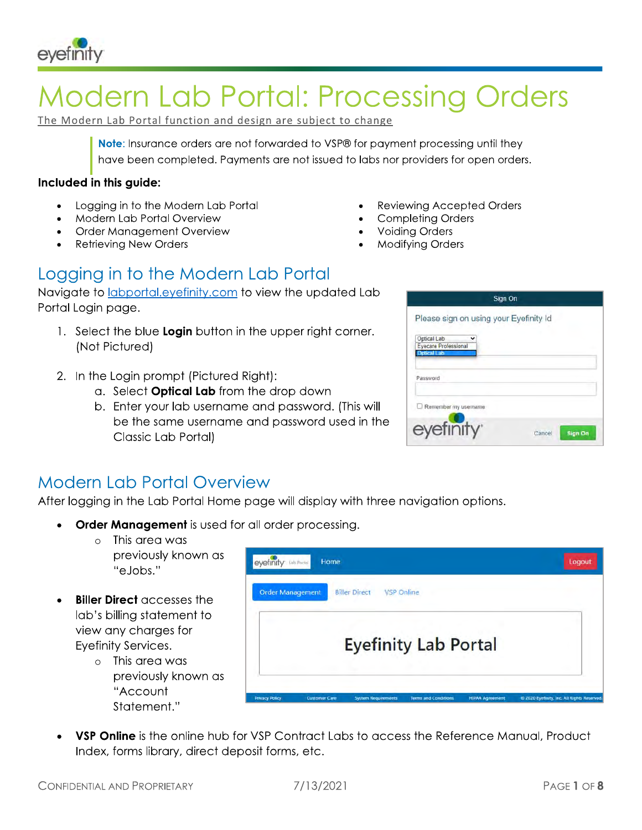

# **Modern Lab Portal: Processing Orders**

The Modern Lab Portal function and design are subject to change

Note: Insurance orders are not forwarded to VSP® for payment processing until they have been completed. Payments are not issued to labs nor providers for open orders.

#### Included in this guide:

- Logging in to the Modern Lab Portal
- Modern Lab Portal Overview
- Order Management Overview
- **Retrieving New Orders**
- **Reviewing Accepted Orders**
- **Completing Orders**
- **Voiding Orders**
- **Modifying Orders**

# Logging in to the Modern Lab Portal

Navigate to labportal.eyefinity.com to view the updated Lab Portal Login page.

- 1. Select the blue Login button in the upper right corner. (Not Pictured)
- 2. In the Login prompt (Pictured Right):
	- a. Select **Optical Lab** from the drop down
	- b. Enter your lab username and password. (This will be the same username and password used in the Classic Lab Portal)

|                                                    | Sign On                  |
|----------------------------------------------------|--------------------------|
| Please sign on using your Eyefinity Id             |                          |
| Optical Lab<br>Eyecare Professional<br>Optical Lab |                          |
| Password                                           |                          |
| Remember my username                               |                          |
| eyefinity                                          | <b>Sign On</b><br>Cancel |

# **Modern Lab Portal Overview**

After logging in the Lab Portal Home page will display with three navigation options.

- **Order Management** is used for all order processing.
	- $\circ$  This area was previously known as "e.lobs."
- **Biller Direct accesses the** lab's billing statement to view any charges for Eyefinity Services.
	- $\circ$  This area was previously known as "Account Statement."



VSP Online is the online hub for VSP Contract Labs to access the Reference Manual, Product Index, forms library, direct deposit forms, etc.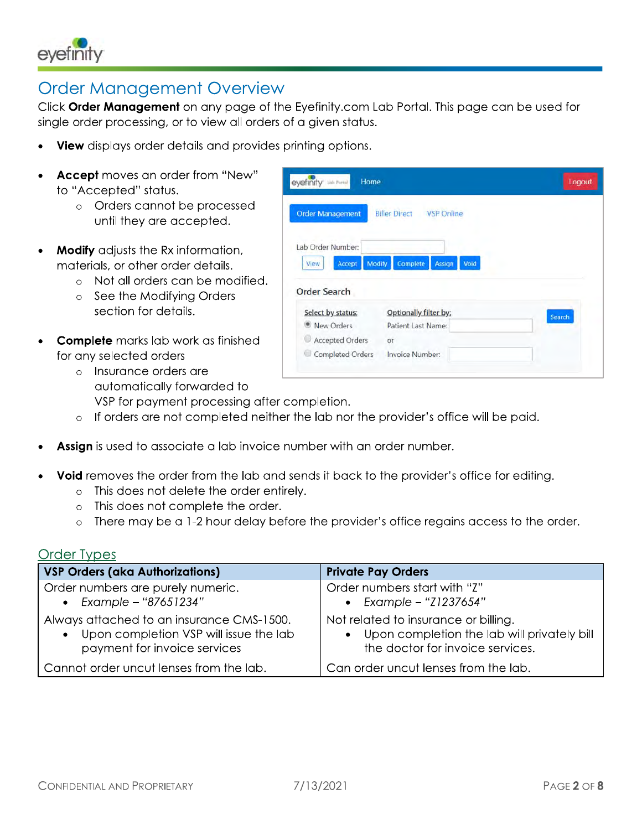

## **Order Management Overview**

Click Order Management on any page of the Eyefinity.com Lab Portal. This page can be used for single order processing, or to view all orders of a given status.

- View displays order details and provides printing options.
- **Accept** moves an order from "New" to "Accepted" status.
	- o Orders cannot be processed until they are accepted.
- Modify adjusts the Rx information,  $\bullet$ materials, or other order details.
	- o Not all orders can be modified.
	- o See the Modifying Orders section for details.
- **Complete** marks lab work as finished for any selected orders
	- o Insurance orders are automatically forwarded to

VSP for payment processing after completion.

- o If orders are not completed neither the lab nor the provider's office will be paid.
- Assign is used to associate a lab invoice number with an order number.
- Void removes the order from the lab and sends it back to the provider's office for editing.
	- o This does not delete the order entirely.
	- o This does not complete the order.
	- o There may be a 1-2 hour delay before the provider's office regains access to the order.

#### **Order Types**

| <b>VSP Orders (aka Authorizations)</b>    | <b>Private Pay Orders</b>                     |
|-------------------------------------------|-----------------------------------------------|
| Order numbers are purely numeric.         | Order numbers start with "Z"                  |
| • Example - "87651234"                    | • Example - " $Z1237654"$                     |
| Always attached to an insurance CMS-1500. | Not related to insurance or billing.          |
| • Upon completion VSP will issue the lab  | • Upon completion the lab will privately bill |
| payment for invoice services              | the doctor for invoice services.              |
| Cannot order uncut lenses from the lab.   | Can order uncut lenses from the lab.          |

| <b>Order Management</b>                      | <b>Biller Direct</b><br><b>VSP Online</b> |        |
|----------------------------------------------|-------------------------------------------|--------|
| Lab Order Number:                            |                                           |        |
| <b>Modify</b><br>Accept<br>View              | Complete<br>Void<br>Assign                |        |
|                                              |                                           |        |
|                                              | Optionally filter by:                     |        |
| Select by status:<br><sup>O</sup> New Orders | Patient Last Name:                        | Search |
| <b>Order Search</b><br>Accepted Orders       | Оr                                        |        |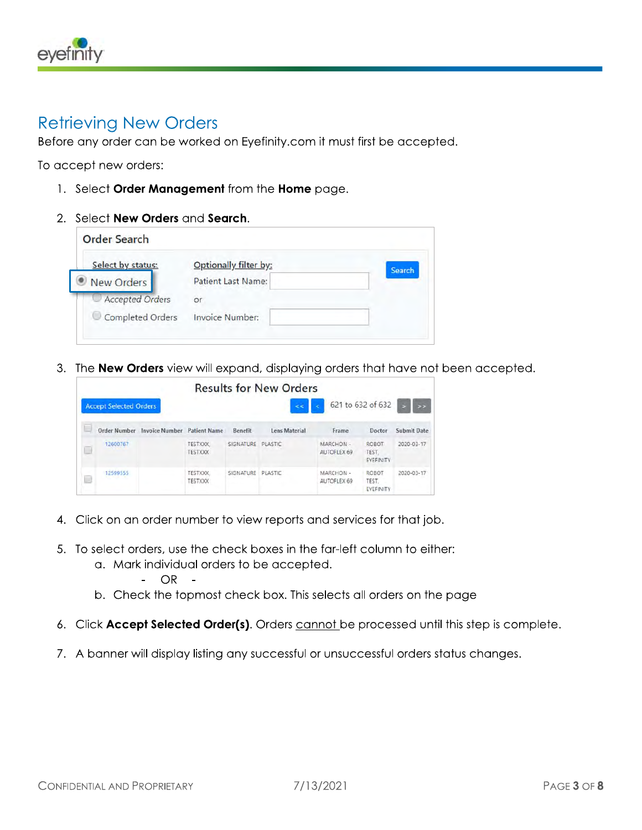

#### **Retrieving New Orders**

Before any order can be worked on Eyefinity.com it must first be accepted.

To accept new orders:

- 1. Select Order Management from the Home page.
- 2. Select New Orders and Search.

| Select by status:      | Optionally filter by: | Search |
|------------------------|-----------------------|--------|
| New Orders             | Patient Last Name:    |        |
| <b>Accepted Orders</b> | or                    |        |
| Completed Orders       | Invoice Number:       |        |

3. The New Orders view will expand, displaying orders that have not been accepted.

|                               |                       |                                  |                   | <b>Results for New Orders</b> |                         |                                    |               |
|-------------------------------|-----------------------|----------------------------------|-------------------|-------------------------------|-------------------------|------------------------------------|---------------|
| <b>Accept Selected Orders</b> |                       |                                  |                   | é.                            |                         | 621 to 632 of 632                  | $\rightarrow$ |
| Order Number                  | <b>Invoice Number</b> | <b>Patient Name</b>              | Benefit           | Lens Material                 | Frame                   | Doctor                             | Submit Date   |
| 12600767                      |                       | <b>TESTXXX</b><br><b>TESTXXX</b> | SIGNATURE PLASTIC |                               | MARCHON-<br>AUTOFLEX 69 | <b>ROBOT</b><br>TEST.<br>EYEFINITY | 2020-03-17    |
| 12599555                      |                       | <b>TESTXXX</b><br><b>TESTXXX</b> | SIGNATURE         | PLASTIC                       | MARCHON-<br>AUTOFLEX 69 | <b>ROBOT</b><br>TEST.<br>EYEFINITY | 2020-03-17    |

- 4. Click on an order number to view reports and services for that job.
- 5. To select orders, use the check boxes in the far-left column to either:
	- a. Mark individual orders to be accepted.
		- $-$  OR  $-$
	- b. Check the topmost check box. This selects all orders on the page
- 6. Click Accept Selected Order(s). Orders cannot be processed until this step is complete.
- 7. A banner will display listing any successful or unsuccessful orders status changes.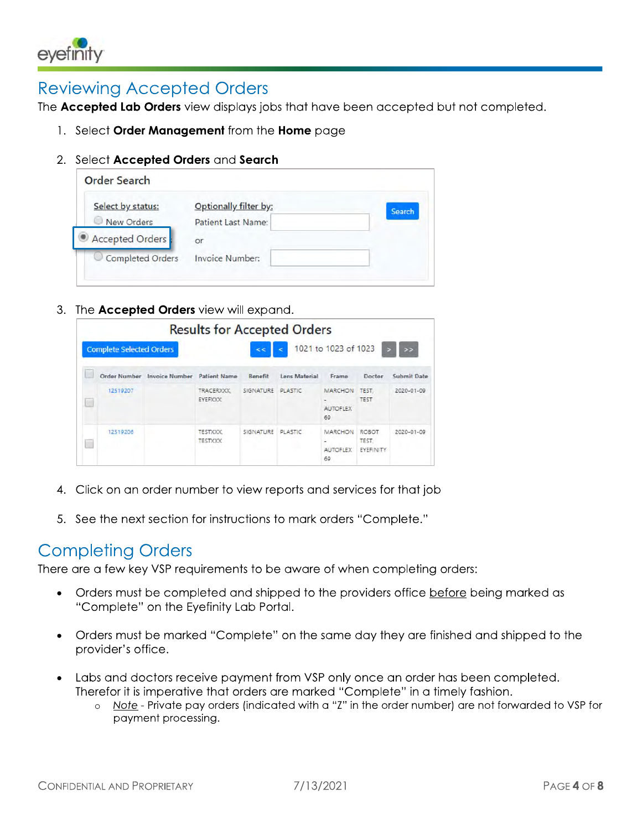

## **Reviewing Accepted Orders**

The Accepted Lab Orders view displays jobs that have been accepted but not completed.

- 1. Select Order Management from the Home page
- 2. Select Accepted Orders and Search

| Select by status: | Optionally filter by: | Search |
|-------------------|-----------------------|--------|
| New Orders        | Patient Last Name:    |        |
| Accepted Orders   | or                    |        |
| Completed Orders  | Invoice Number:       |        |

3. The Accepted Orders view will expand.

|                                 |                       | <b>Results for Accepted Orders</b>                    |           |               |                                            |                             |               |
|---------------------------------|-----------------------|-------------------------------------------------------|-----------|---------------|--------------------------------------------|-----------------------------|---------------|
| <b>Complete Selected Orders</b> |                       |                                                       | kk.       | ë             | 1021 to 1023 of 1023                       |                             | $\rightarrow$ |
| Order Number                    | <b>Invoice Number</b> | <b>Patient Name</b>                                   | Benefit   | Lens Material | Frame                                      | Doctor                      | Submit Date   |
| 12519207                        |                       | TRACERXXX.<br>EYEFXXX                                 | SIGNATURE | PLASTIC       | <b>MARCHON</b><br><b>AUTOFLEX</b><br>69    | TEST.<br><b>TEST</b>        | 2020-01-09    |
| 12519206                        |                       | <b>TESTXXX</b><br><b>TESTXXX</b><br><b>CONTRACTOR</b> | SIGNATURE | PI ASTIC      | MARCHON<br>$\sim$<br><b>AUTOFLEX</b><br>69 | ROBOT<br>TEST.<br>EYEFINITY | 2020-01-09    |

- 4. Click on an order number to view reports and services for that job
- 5. See the next section for instructions to mark orders "Complete."

### **Completing Orders**

There are a few key VSP requirements to be aware of when completing orders:

- Orders must be completed and shipped to the providers office before being marked as "Complete" on the Eyefinity Lab Portal.
- Orders must be marked "Complete" on the same day they are finished and shipped to the provider's office.
- Labs and doctors receive payment from VSP only once an order has been completed. Therefor it is imperative that orders are marked "Complete" in a timely fashion.
	- o Note Private pay orders (indicated with a "Z" in the order number) are not forwarded to VSP for payment processing.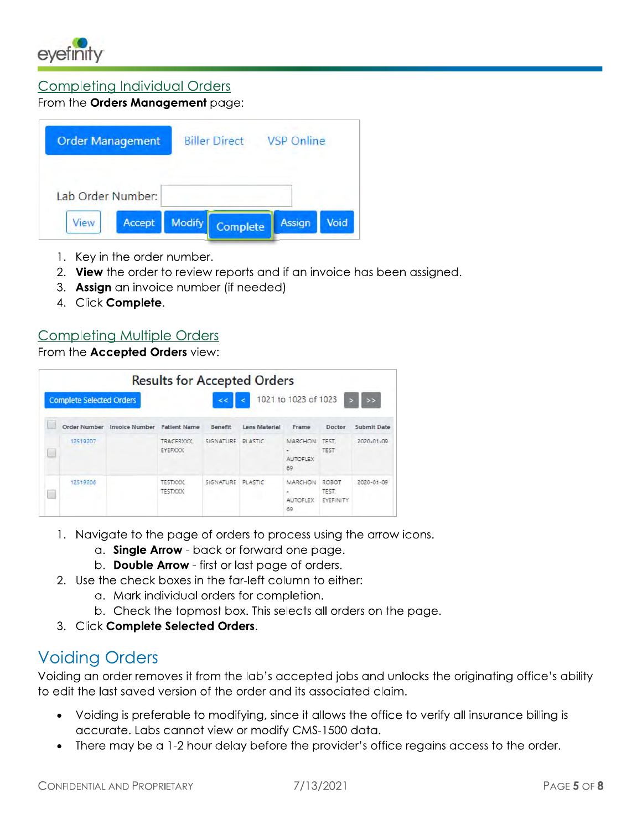

#### **Completing Individual Orders**

#### From the Orders Management page:

| Lab Order Number: | <b>VSP Online</b> | <b>Biller Direct</b> |        | <b>Order Management</b> |
|-------------------|-------------------|----------------------|--------|-------------------------|
|                   |                   |                      |        |                         |
| Accept<br>View    | Assign<br>Void    | Complete             | Modify |                         |

- 1. Key in the order number.
- 2. View the order to review reports and if an invoice has been assigned.
- 3. Assign an invoice number (if needed)
- 4. Click Complete.

#### **Completing Multiple Orders**

From the Accepted Orders view:

|                                 |                       | <b>Results for Accepted Orders</b>                             |                   |               |                                                   |                             |               |
|---------------------------------|-----------------------|----------------------------------------------------------------|-------------------|---------------|---------------------------------------------------|-----------------------------|---------------|
| <b>Complete Selected Orders</b> |                       |                                                                | kk.               | ż             | 1021 to 1023 of 1023                              |                             | $\rightarrow$ |
| Order Number                    | <b>Invoice Number</b> | <b>Patient Name</b>                                            | Benefit           | Lens Material | Frame                                             | Doctor                      | Submit Date   |
| 12519207                        |                       | TRACERXXX.<br>EYEFXXX                                          | SIGNATURE PLASTIC |               | <b>MARCHON</b><br>$\sim$<br><b>AUTOFLEX</b><br>69 | TEST.<br><b>TEST</b>        | 2020-01-09    |
| 12519206                        |                       | <b>TESTXXX</b><br><b>TESTXXX</b><br><b>Service Controllers</b> | SIGNATURE         | PI ASTIC      | MARCHON<br><b>AUTOFLEX</b><br>69                  | ROBOT<br>TEST.<br>EYEFINITY | 2020-01-09    |

- 1. Navigate to the page of orders to process using the arrow icons.
	- a. Single Arrow back or forward one page.
	- b. Double Arrow first or last page of orders.
- 2. Use the check boxes in the far-left column to either:
	- a. Mark individual orders for completion.
	- b. Check the topmost box. This selects all orders on the page.
- 3. Click Complete Selected Orders.

# **Voiding Orders**

Voiding an order removes it from the lab's accepted jobs and unlocks the originating office's ability to edit the last saved version of the order and its associated claim.

- Voiding is preferable to modifying, since it allows the office to verify all insurance billing is accurate. Labs cannot view or modify CMS-1500 data.
- There may be a 1-2 hour delay before the provider's office regains access to the order.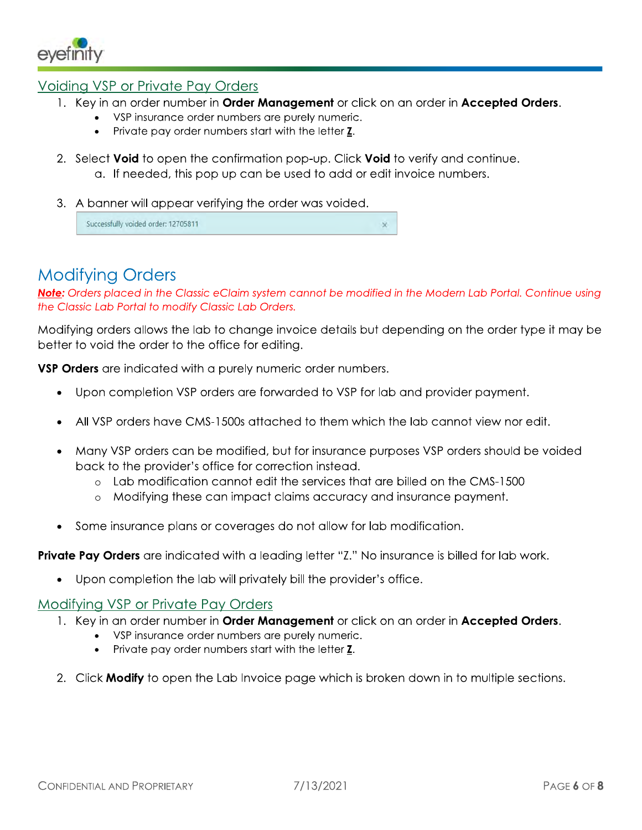

#### Voiding VSP or Private Pay Orders

- 1. Key in an order number in **Order Management** or click on an order in **Accepted Orders.** 
	- VSP insurance order numbers are purely numeric.
		- Private pay order numbers start with the letter Z.
- 2. Select **Void** to open the confirmation pop-up. Click **Void** to verify and continue. a. If needed, this pop up can be used to add or edit invoice numbers.
- 3. A banner will appear verifying the order was voided.

Successfully voided order: 12705811

# **Modifying Orders**

Note: Orders placed in the Classic eClaim system cannot be modified in the Modern Lab Portal. Continue using the Classic Lab Portal to modify Classic Lab Orders.

 $\overline{\mathbf{x}}$ 

Modifying orders allows the lab to change invoice details but depending on the order type it may be better to void the order to the office for editing.

VSP Orders are indicated with a purely numeric order numbers.

- Upon completion VSP orders are forwarded to VSP for lab and provider payment.
- All VSP orders have CMS-1500s attached to them which the lab cannot view nor edit.
- Many VSP orders can be modified, but for insurance purposes VSP orders should be voided back to the provider's office for correction instead.
	- $\circ$  Lab modification cannot edit the services that are billed on the CMS-1500
	- o Modifying these can impact claims accuracy and insurance payment.
- Some insurance plans or coverages do not allow for lab modification.

**Private Pay Orders** are indicated with a leading letter "Z." No insurance is billed for lab work.

Upon completion the lab will privately bill the provider's office.

#### Modifying VSP or Private Pay Orders

- 1. Key in an order number in **Order Management** or click on an order in **Accepted Orders.** 
	- VSP insurance order numbers are purely numeric.
	- Private pay order numbers start with the letter Z.  $\bullet$
- 2. Click **Modify** to open the Lab Invoice page which is broken down in to multiple sections.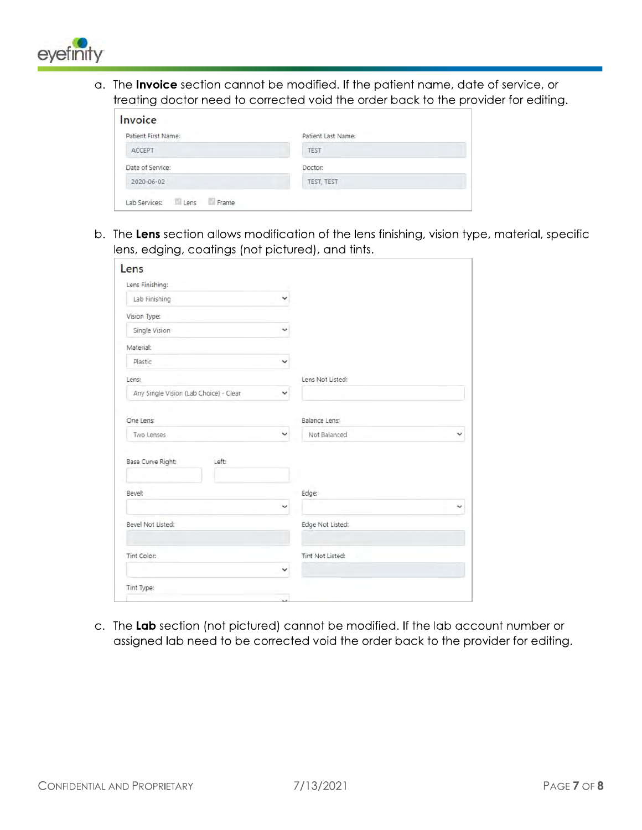

a. The Invoice section cannot be modified. If the patient name, date of service, or treating doctor need to corrected void the order back to the provider for editing.

| Patient First Name: | Patient Last Name: |  |
|---------------------|--------------------|--|
| ACCEPT              | TEST               |  |
| Date of Service:    | Doctor:            |  |
| 2020-06-02          | TEST, TEST         |  |

b. The Lens section allows modification of the lens finishing, vision type, material, specific lens, edging, coatings (not pictured), and tints.

| Lens                                   |              |                   |
|----------------------------------------|--------------|-------------------|
| Lens Finishing:                        |              |                   |
| Lab Finishing                          | $\checkmark$ |                   |
| Vision Type:                           |              |                   |
| Single Vision                          | v            |                   |
| Material:                              |              |                   |
| Plastic                                | v            |                   |
| Lens:                                  |              | Lens Not Listed:  |
| Any Single Vision (Lab Choice) - Clear | v            |                   |
| One Lens:                              |              | Balance Lens:     |
| Two Lenses                             | v            | Not Balanced<br>v |
| Base Curve Right:<br>Left              |              |                   |
| Bevel:                                 |              | Edge:             |
|                                        | v            | ◡                 |
| Bevel Not Listed:                      |              | Edge Not Listed:  |
| Tint Color:                            |              | Tint Not Listed:  |
|                                        | ◡            |                   |
| Tint Type:                             |              |                   |
|                                        | 44           |                   |

c. The Lab section (not pictured) cannot be modified. If the lab account number or assigned lab need to be corrected void the order back to the provider for editing.